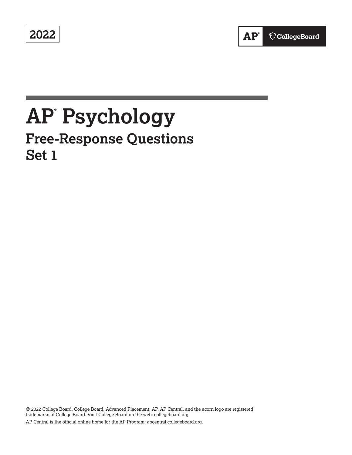**2022** 

# **AP® Psychology**

## **Free-Response Questions Set 1**

© 2022 College Board. College Board, Advanced Placement, AP, AP Central, and the acorn logo are registered trademarks of College Board. Visit College Board on the web: [collegeboard.org.](https://collegeboard.org) AP Central is the official online home for the AP Program: [apcentral.collegeboard.org.](https://apcentral.collegeboard.org)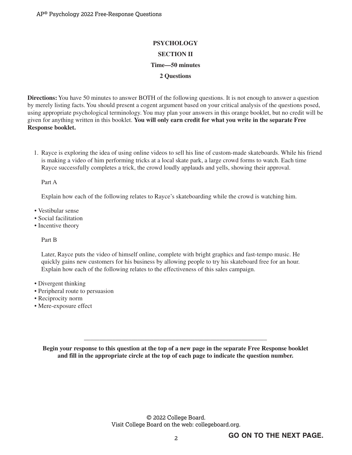### **PSYCHOLOGY SECTION II Time—50 minutes 2 Questions**

**Directions:** You have 50 minutes to answer BOTH of the following questions. It is not enough to answer a question by merely listing facts. You should present a cogent argument based on your critical analysis of the questions posed, using appropriate psychological terminology. You may plan your answers in this orange booklet, but no credit will be given for anything written in this booklet. **You will only earn credit for what you write in the separate Free Response booklet.**

1. Rayce is exploring the idea of using online videos to sell his line of custom-made skateboards. While his friend is making a video of him performing tricks at a local skate park, a large crowd forms to watch. Each time Rayce successfully completes a trick, the crowd loudly applauds and yells, showing their approval.

Part A

Explain how each of the following relates to Rayce's skateboarding while the crowd is watching him.

- Vestibular sense
- Social facilitation
- Incentive theory

Part B

Later, Rayce puts the video of himself online, complete with bright graphics and fast-tempo music. He quickly gains new customers for his business by allowing people to try his skateboard free for an hour. Explain how each of the following relates to the effectiveness of this sales campaign.

- Divergent thinking
- Peripheral route to persuasion
- Reciprocity norm
- Mere-exposure effect

**Begin your response to this question at the top of a new page in the separate Free Response booklet and fill in the appropriate circle at the top of each page to indicate the question number.**

\_\_\_\_\_\_\_\_\_\_\_\_\_\_\_\_\_\_\_\_\_\_\_\_\_\_\_\_\_\_\_\_\_\_\_\_\_\_\_\_\_\_\_\_\_\_\_\_\_\_\_\_\_\_\_\_\_\_

© 2022 College Board. Visit College Board on the web: collegeboard.org.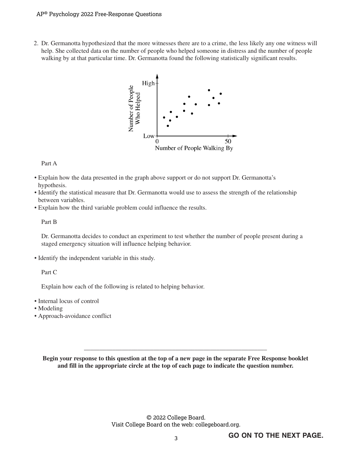#### AP® Psychology 2022 Free-Response Questions

2. Dr. Germanotta hypothesized that the more witnesses there are to a crime, the less likely any one witness will help. She collected data on the number of people who helped someone in distress and the number of people walking by at that particular time. Dr. Germanotta found the following statistically significant results.



#### Part A

- Explain how the data presented in the graph above support or do not support Dr. Germanotta's hypothesis.
- Identify the statistical measure that Dr. Germanotta would use to assess the strength of the relationship between variables.
- Explain how the third variable problem could influence the results.

#### Part B

Dr. Germanotta decides to conduct an experiment to test whether the number of people present during a staged emergency situation will influence helping behavior.

• Identify the independent variable in this study.

Part C

Explain how each of the following is related to helping behavior.

- Internal locus of control
- Modeling
- Approach-avoidance conflict

**Begin your response to this question at the top of a new page in the separate Free Response booklet and fill in the appropriate circle at the top of each page to indicate the question number.**

\_\_\_\_\_\_\_\_\_\_\_\_\_\_\_\_\_\_\_\_\_\_\_\_\_\_\_\_\_\_\_\_\_\_\_\_\_\_\_\_\_\_\_\_\_\_\_\_\_\_\_\_\_\_\_\_\_\_

© 2022 College Board. Visit College Board on the web: collegeboard.org.